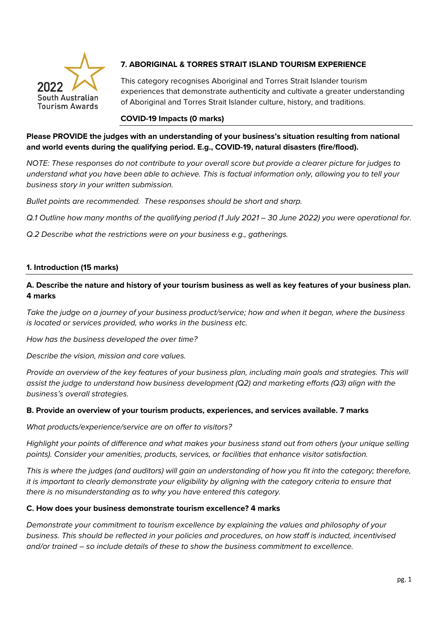

# **7. ABORIGINAL & TORRES STRAIT ISLAND TOURISM EXPERIENCE**

This category recognises Aboriginal and Torres Strait Islander tourism experiences that demonstrate authenticity and cultivate a greater understanding of Aboriginal and Torres Strait Islander culture, history, and traditions.

#### **COVID-19 Impacts (0 marks)**

## **Please PROVIDE the judges with an understanding of your business's situation resulting from national and world events during the qualifying period. E.g., COVID-19, natural disasters (fire/flood).**

*NOTE: These responses do not contribute to your overall score but provide a clearer picture for judges to understand what you have been able to achieve. This is factual information only, allowing you to tell your business story in your written submission.* 

*Bullet points are recommended. These responses should be short and sharp.*

*Q.1 Outline how many months of the qualifying period (1 July 2021 – 30 June 2022) you were operational for.*

*Q.2 Describe what the restrictions were on your business e.g., gatherings.*

#### **1. Introduction (15 marks)**

# **A. Describe the nature and history of your tourism business as well as key features of your business plan. 4 marks**

*Take the judge on a journey of your business product/service; how and when it began, where the business is located or services provided, who works in the business etc.*

*How has the business developed the over time?*

*Describe the vision, mission and core values.* 

*Provide an overview of the key features of your business plan, including main goals and strategies. This will assist the judge to understand how business development (Q2) and marketing efforts (Q3) align with the business's overall strategies.* 

#### **B. Provide an overview of your tourism products, experiences, and services available. 7 marks**

*What products/experience/service are on offer to visitors?*

*Highlight your points of difference and what makes your business stand out from others (your unique selling points). Consider your amenities, products, services, or facilities that enhance visitor satisfaction.*

*This is where the judges (and auditors) will gain an understanding of how you fit into the category; therefore, it is important to clearly demonstrate your eligibility by aligning with the category criteria to ensure that there is no misunderstanding as to why you have entered this category.*

#### **C. How does your business demonstrate tourism excellence? 4 marks**

*Demonstrate your commitment to tourism excellence by explaining the values and philosophy of your business. This should be reflected in your policies and procedures, on how staff is inducted, incentivised and/or trained – so include details of these to show the business commitment to excellence.*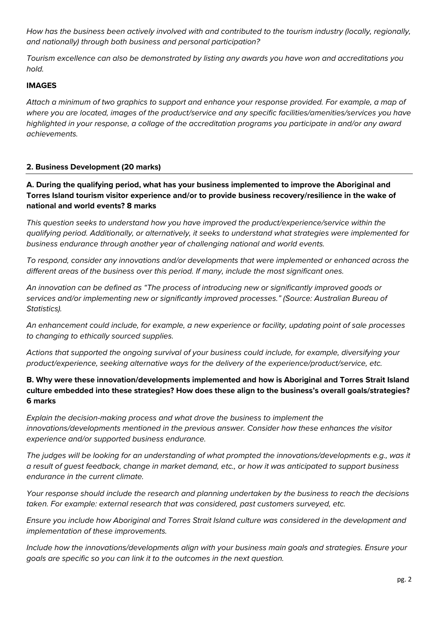*How has the business been actively involved with and contributed to the tourism industry (locally, regionally, and nationally) through both business and personal participation?*

*Tourism excellence can also be demonstrated by listing any awards you have won and accreditations you hold.* 

## **IMAGES**

*Attach a minimum of two graphics to support and enhance your response provided. For example, a map of where you are located, images of the product/service and any specific facilities/amenities/services you have highlighted in your response, a collage of the accreditation programs you participate in and/or any award achievements.* 

### **2. Business Development (20 marks)**

**A. During the qualifying period, what has your business implemented to improve the Aboriginal and Torres Island tourism visitor experience and/or to provide business recovery/resilience in the wake of national and world events? 8 marks**

*This question seeks to understand how you have improved the product/experience/service within the qualifying period. Additionally, or alternatively, it seeks to understand what strategies were implemented for business endurance through another year of challenging national and world events.* 

*To respond, consider any innovations and/or developments that were implemented or enhanced across the different areas of the business over this period. If many, include the most significant ones.*

*An innovation can be defined as "The process of introducing new or significantly improved goods or services and/or implementing new or significantly improved processes." (Source: Australian Bureau of Statistics).*

*An enhancement could include, for example, a new experience or facility, updating point of sale processes to changing to ethically sourced supplies.* 

*Actions that supported the ongoing survival of your business could include, for example, diversifying your product/experience, seeking alternative ways for the delivery of the experience/product/service, etc.*

## **B. Why were these innovation/developments implemented and how is Aboriginal and Torres Strait Island culture embedded into these strategies? How does these align to the business's overall goals/strategies? 6 marks**

*Explain the decision-making process and what drove the business to implement the innovations/developments mentioned in the previous answer. Consider how these enhances the visitor experience and/or supported business endurance.* 

*The judges will be looking for an understanding of what prompted the innovations/developments e.g., was it a result of guest feedback, change in market demand, etc., or how it was anticipated to support business endurance in the current climate.*

*Your response should include the research and planning undertaken by the business to reach the decisions taken. For example: external research that was considered, past customers surveyed, etc.* 

*Ensure you include how Aboriginal and Torres Strait Island culture was considered in the development and implementation of these improvements.*

*Include how the innovations/developments align with your business main goals and strategies. Ensure your goals are specific so you can link it to the outcomes in the next question.*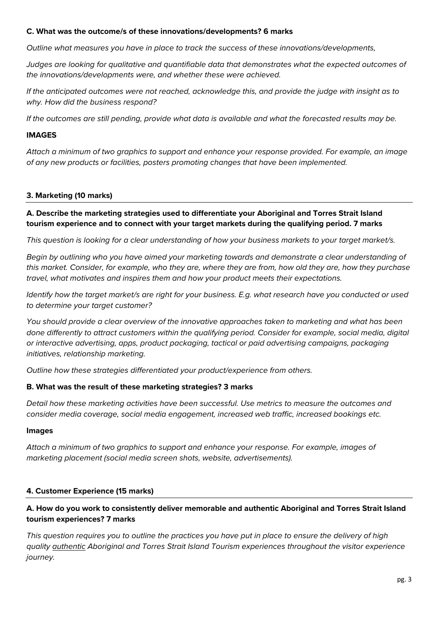#### **C. What was the outcome/s of these innovations/developments? 6 marks**

*Outline what measures you have in place to track the success of these innovations/developments,*

*Judges are looking for qualitative and quantifiable data that demonstrates what the expected outcomes of the innovations/developments were, and whether these were achieved.*

*If the anticipated outcomes were not reached, acknowledge this, and provide the judge with insight as to why. How did the business respond?*

*If the outcomes are still pending, provide what data is available and what the forecasted results may be.*

#### **IMAGES**

*Attach a minimum of two graphics to support and enhance your response provided. For example, an image of any new products or facilities, posters promoting changes that have been implemented.*

### **3. Marketing (10 marks)**

**A. Describe the marketing strategies used to differentiate your Aboriginal and Torres Strait Island tourism experience and to connect with your target markets during the qualifying period. 7 marks**

*This question is looking for a clear understanding of how your business markets to your target market/s.*

*Begin by outlining who you have aimed your marketing towards and demonstrate a clear understanding of this market. Consider, for example, who they are, where they are from, how old they are, how they purchase travel, what motivates and inspires them and how your product meets their expectations.* 

*Identify how the target market/s are right for your business. E.g. what research have you conducted or used to determine your target customer?*

*You should provide a clear overview of the innovative approaches taken to marketing and what has been done differently to attract customers within the qualifying period. Consider for example, social media, digital or interactive advertising, apps, product packaging, tactical or paid advertising campaigns, packaging initiatives, relationship marketing.*

*Outline how these strategies differentiated your product/experience from others.* 

### **B. What was the result of these marketing strategies? 3 marks**

*Detail how these marketing activities have been successful. Use metrics to measure the outcomes and consider media coverage, social media engagement, increased web traffic, increased bookings etc.* 

#### **Images**

*Attach a minimum of two graphics to support and enhance your response. For example, images of marketing placement (social media screen shots, website, advertisements).*

### **4. Customer Experience (15 marks)**

## **A. How do you work to consistently deliver memorable and authentic Aboriginal and Torres Strait Island tourism experiences? 7 marks**

*This question requires you to outline the practices you have put in place to ensure the delivery of high quality authentic Aboriginal and Torres Strait Island Tourism experiences throughout the visitor experience journey.*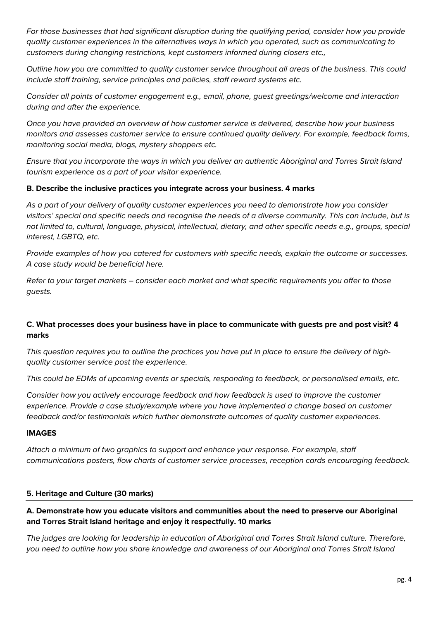*For those businesses that had significant disruption during the qualifying period, consider how you provide quality customer experiences in the alternatives ways in which you operated, such as communicating to customers during changing restrictions, kept customers informed during closers etc.,* 

*Outline how you are committed to quality customer service throughout all areas of the business. This could include staff training, service principles and policies, staff reward systems etc.* 

*Consider all points of customer engagement e.g., email, phone, guest greetings/welcome and interaction during and after the experience.*

*Once you have provided an overview of how customer service is delivered, describe how your business monitors and assesses customer service to ensure continued quality delivery. For example, feedback forms, monitoring social media, blogs, mystery shoppers etc.* 

*Ensure that you incorporate the ways in which you deliver an authentic Aboriginal and Torres Strait Island tourism experience as a part of your visitor experience.* 

## **B. Describe the inclusive practices you integrate across your business. 4 marks**

*As a part of your delivery of quality customer experiences you need to demonstrate how you consider visitors' special and specific needs and recognise the needs of a diverse community. This can include, but is not limited to, cultural, language, physical, intellectual, dietary, and other specific needs e.g., groups, special interest, LGBTQ, etc.*

*Provide examples of how you catered for customers with specific needs, explain the outcome or successes. A case study would be beneficial here.* 

*Refer to your target markets – consider each market and what specific requirements you offer to those guests.*

# **C. What processes does your business have in place to communicate with guests pre and post visit? 4 marks**

*This question requires you to outline the practices you have put in place to ensure the delivery of highquality customer service post the experience.* 

*This could be EDMs of upcoming events or specials, responding to feedback, or personalised emails, etc.* 

*Consider how you actively encourage feedback and how feedback is used to improve the customer experience. Provide a case study/example where you have implemented a change based on customer feedback and/or testimonials which further demonstrate outcomes of quality customer experiences.* 

### **IMAGES**

*Attach a minimum of two graphics to support and enhance your response. For example, staff communications posters, flow charts of customer service processes, reception cards encouraging feedback.* 

### **5. Heritage and Culture (30 marks)**

# **A. Demonstrate how you educate visitors and communities about the need to preserve our Aboriginal and Torres Strait Island heritage and enjoy it respectfully. 10 marks**

*The judges are looking for leadership in education of Aboriginal and Torres Strait Island culture. Therefore, you need to outline how you share knowledge and awareness of our Aboriginal and Torres Strait Island*